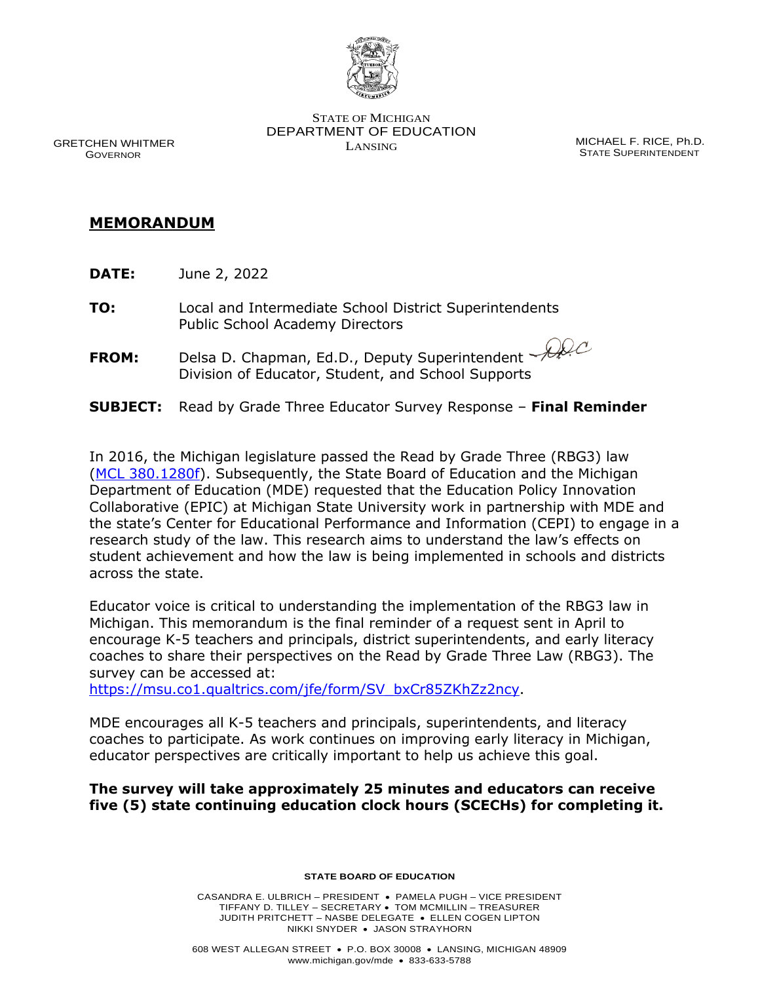

STATE OF MICHIGAN DEPARTMENT OF EDUCATION

LANSING MICHAEL F. RICE, Ph.D. STATE SUPERINTENDENT

 GRETCHEN WHITMER GOVERNOR

## **MEMORANDUM**

- **DATE:** June 2, 2022
- **TO:** Local and Intermediate School District Superintendents Public School Academy Directors
- **FROM:** Delsa D. Chapman, Ed.D., Deputy Superintendent Division of Educator, Student, and School Supports
- **SUBJECT:** Read by Grade Three Educator Survey Response **Final Reminder**

In 2016, the Michigan legislature passed the Read by Grade Three (RBG3) law [\(MCL 380.1280f\)](https://www.legislature.mi.gov/(S(ut2x5c5bdk3xssxth3zht001))/mileg.aspx?page=getObject&objectName=mcl-380-1280f). Subsequently, the State Board of Education and the Michigan Department of Education (MDE) requested that the Education Policy Innovation Collaborative (EPIC) at Michigan State University work in partnership with MDE and the state's Center for Educational Performance and Information (CEPI) to engage in a research study of the law. This research aims to understand the law's effects on student achievement and how the law is being implemented in schools and districts across the state.

Educator voice is critical to understanding the implementation of the RBG3 law in Michigan. This memorandum is the final reminder of a request sent in April to encourage K-5 teachers and principals, district superintendents, and early literacy coaches to share their perspectives on the Read by Grade Three Law (RBG3). The survey can be accessed at:

[https://msu.co1.qualtrics.com/jfe/form/SV\\_bxCr85ZKhZz2ncy.](https://msu.co1.qualtrics.com/jfe/form/SV_bxCr85ZKhZz2ncy)

MDE encourages all K-5 teachers and principals, superintendents, and literacy coaches to participate. As work continues on improving early literacy in Michigan, educator perspectives are critically important to help us achieve this goal.

## **The survey will take approximately 25 minutes and educators can receive five (5) state continuing education clock hours (SCECHs) for completing it.**

**STATE BOARD OF EDUCATION**

CASANDRA E. ULBRICH – PRESIDENT • PAMELA PUGH – VICE PRESIDENT TIFFANY D. TILLEY – SECRETARY • TOM MCMILLIN – TREASURER JUDITH PRITCHETT – NASBE DELEGATE • ELLEN COGEN LIPTON NIKKI SNYDER • JASON STRAYHORN